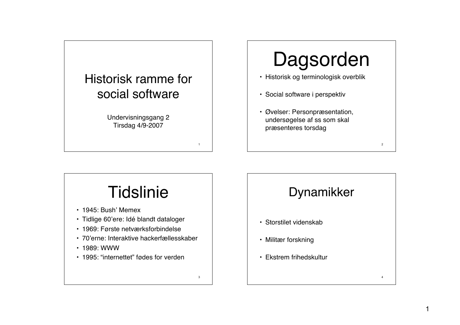

# Dagsorden

- Historisk og terminologisk overblik
- Social software i perspektiv
- Øvelser: Personpræsentation, undersøgelse af ss som skal præsenteres torsdag

## **Tidslinie** • 1945: Bush' Memex

- Tidlige 60'ere: Idé blandt dataloger
- 1969: Første netværksforbindelse
- 70'erne: Interaktive hackerfællesskaber

3

- 1989: WWW
- 1995: "internettet" fødes for verden

## Dynamikker

2

4

- Storstilet videnskab
- Militær forskning
- Ekstrem frihedskultur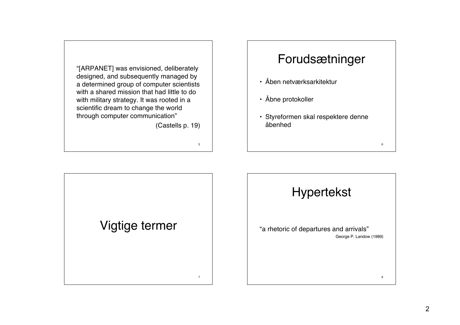"[ARPANET] was envisioned, deliberately designed, and subsequently managed by a determined group of computer scientists with a shared mission that had little to do with military strategy. It was rooted in a scientific dream to change the world through computer communication"

(Castells p. 19)

5

7

### Forudsætninger

- Åben netværksarkitektur
- Åbne protokoller
- Styreformen skal respektere denne åbenhed

Vigtige termer

## Hypertekst

6

8

"a rhetoric of departures and arrivals" George P. Landow (1989)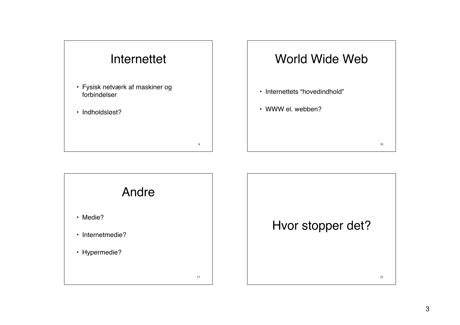



10

12

- Internettets "hovedindhold"
- WWW el. webben?



Hvor stopper det?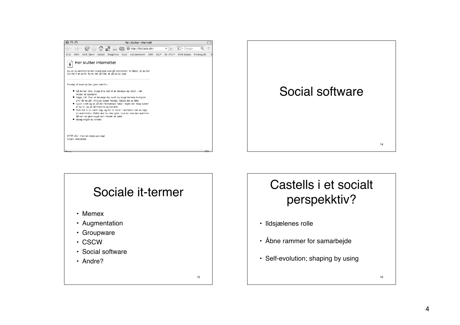



#### 15 Sociale it-termer • Memex • Augmentation • Groupware • CSCW • Social software • Andre?

## Castells i et socialt perspekktiv?

- Ildsjælenes rolle
- Åbne rammer for samarbejde
- Self-evolution; shaping by using

16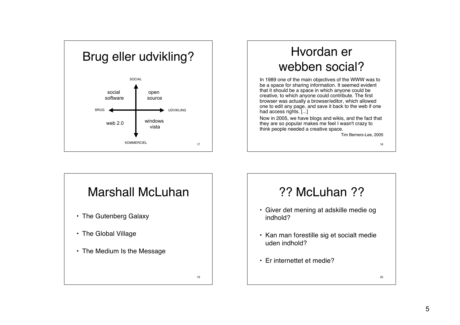

## Hvordan er webben social?

In 1989 one of the main objectives of the WWW was to be a space for sharing information. It seemed evident that it should be a space in which anyone could be creative, to which anyone could contribute. The first browser was actually a browser/editor, which allowed one to edit any page, and save it back to the web if one had access rights. [...]

Now in 2005, we have blogs and wikis, and the fact that they are so popular makes me feel I wasn't crazy to think people needed a creative space.

Tim Berners-Lee, 2005

18



#### ?? McLuhan ??

- Giver det mening at adskille medie og indhold?
- Kan man forestille sig et socialt medie uden indhold?
- Er internettet et medie?

20